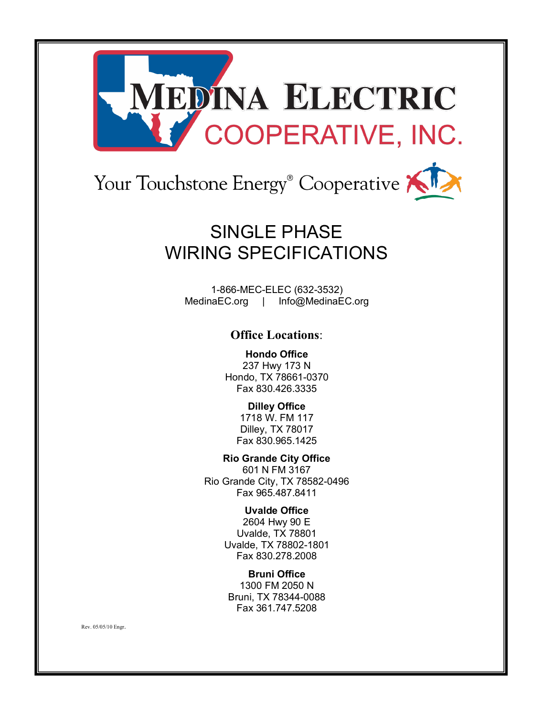

# Your Touchstone Energy® Cooperative?

### SINGLE PHASE WIRING SPECIFICATIONS

1-866-MEC-ELEC (632-3532) MedinaEC.org | Info@MedinaEC.org

#### **Office Locations**:

**Hondo Office** 237 Hwy 173 N Hondo, TX 78661-0370 Fax 830.426.3335

> **Dilley Office** 1718 W. FM 117 Dilley, TX 78017 Fax 830.965.1425

**Rio Grande City Office**  601 N FM 3167 Rio Grande City, TX 78582-0496 Fax 965.487.8411

> **Uvalde Office** 2604 Hwy 90 E Uvalde, TX 78801 Uvalde, TX 78802-1801 Fax 830.278.2008

**Bruni Office** 1300 FM 2050 N Bruni, TX 78344-0088 Fax 361.747.5208

Rev. 05/05/10 Engr.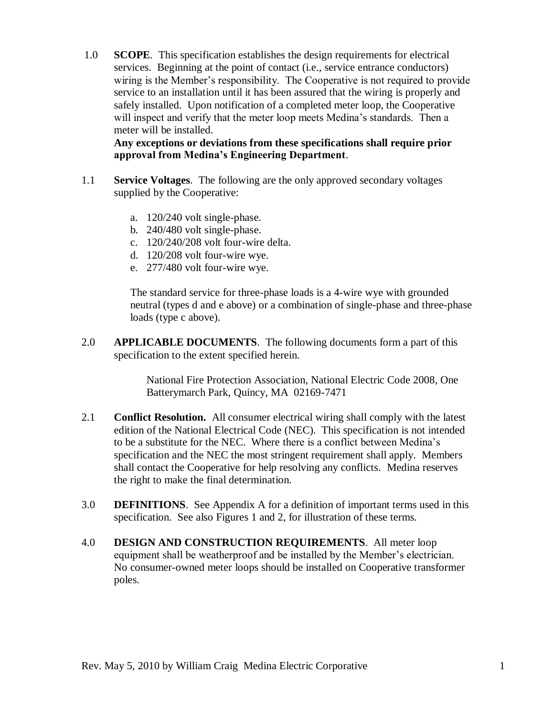1.0 **SCOPE**. This specification establishes the design requirements for electrical services. Beginning at the point of contact (i.e., service entrance conductors) wiring is the Member's responsibility. The Cooperative is not required to provide service to an installation until it has been assured that the wiring is properly and safely installed. Upon notification of a completed meter loop, the Cooperative will inspect and verify that the meter loop meets Medina's standards. Then a meter will be installed.

**Any exceptions or deviations from these specifications shall require prior approval from Medina's Engineering Department**.

- 1.1 **Service Voltages**. The following are the only approved secondary voltages supplied by the Cooperative:
	- a. 120/240 volt single-phase.
	- b. 240/480 volt single-phase.
	- c. 120/240/208 volt four-wire delta.
	- d. 120/208 volt four-wire wye.
	- e. 277/480 volt four-wire wye.

The standard service for three-phase loads is a 4-wire wye with grounded neutral (types d and e above) or a combination of single-phase and three-phase loads (type c above).

2.0 **APPLICABLE DOCUMENTS**. The following documents form a part of this specification to the extent specified herein.

> National Fire Protection Association, National Electric Code 2008, One Batterymarch Park, Quincy, MA 02169-7471

- 2.1 **Conflict Resolution.** All consumer electrical wiring shall comply with the latest edition of the National Electrical Code (NEC). This specification is not intended to be a substitute for the NEC. Where there is a conflict between Medina's specification and the NEC the most stringent requirement shall apply. Members shall contact the Cooperative for help resolving any conflicts. Medina reserves the right to make the final determination.
- 3.0 **DEFINITIONS**. See Appendix A for a definition of important terms used in this specification. See also Figures 1 and 2, for illustration of these terms.
- 4.0 **DESIGN AND CONSTRUCTION REQUIREMENTS**. All meter loop equipment shall be weatherproof and be installed by the Member's electrician. No consumer-owned meter loops should be installed on Cooperative transformer poles.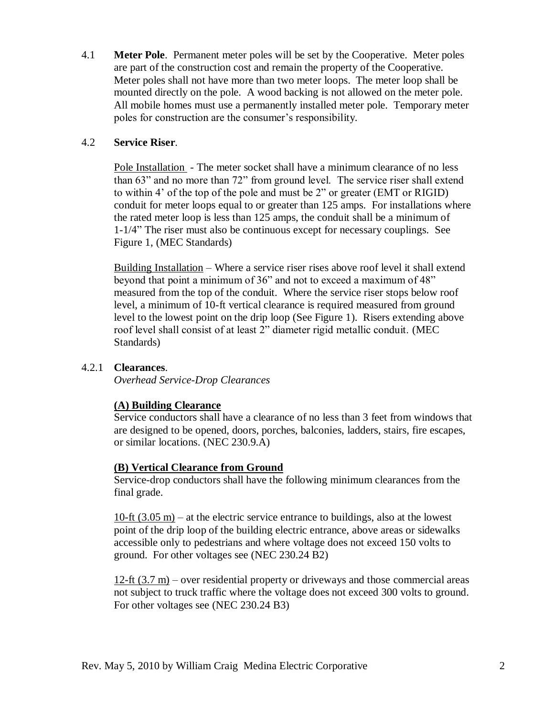4.1 **Meter Pole**. Permanent meter poles will be set by the Cooperative. Meter poles are part of the construction cost and remain the property of the Cooperative. Meter poles shall not have more than two meter loops. The meter loop shall be mounted directly on the pole. A wood backing is not allowed on the meter pole. All mobile homes must use a permanently installed meter pole. Temporary meter poles for construction are the consumer's responsibility.

#### 4.2 **Service Riser**.

Pole Installation - The meter socket shall have a minimum clearance of no less than 63" and no more than 72" from ground level. The service riser shall extend to within 4' of the top of the pole and must be 2" or greater (EMT or RIGID) conduit for meter loops equal to or greater than 125 amps. For installations where the rated meter loop is less than 125 amps, the conduit shall be a minimum of 1-1/4" The riser must also be continuous except for necessary couplings. See Figure 1, (MEC Standards)

Building Installation – Where a service riser rises above roof level it shall extend beyond that point a minimum of 36" and not to exceed a maximum of 48" measured from the top of the conduit. Where the service riser stops below roof level, a minimum of 10-ft vertical clearance is required measured from ground level to the lowest point on the drip loop (See Figure 1). Risers extending above roof level shall consist of at least 2" diameter rigid metallic conduit. (MEC Standards)

#### 4.2.1 **Clearances**.

*Overhead Service-Drop Clearances*

#### **(A) Building Clearance**

Service conductors shall have a clearance of no less than 3 feet from windows that are designed to be opened, doors, porches, balconies, ladders, stairs, fire escapes, or similar locations. (NEC 230.9.A)

#### **(B) Vertical Clearance from Ground**

Service-drop conductors shall have the following minimum clearances from the final grade.

 $10$ -ft  $(3.05 \text{ m})$  – at the electric service entrance to buildings, also at the lowest point of the drip loop of the building electric entrance, above areas or sidewalks accessible only to pedestrians and where voltage does not exceed 150 volts to ground. For other voltages see (NEC 230.24 B2)

12-ft (3.7 m) – over residential property or driveways and those commercial areas not subject to truck traffic where the voltage does not exceed 300 volts to ground. For other voltages see (NEC 230.24 B3)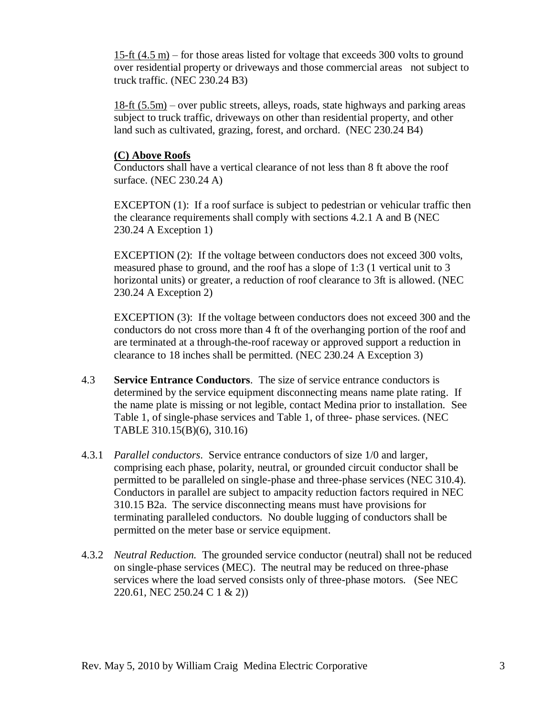15-ft (4.5 m) – for those areas listed for voltage that exceeds 300 volts to ground over residential property or driveways and those commercial areas not subject to truck traffic. (NEC 230.24 B3)

18-ft (5.5m) – over public streets, alleys, roads, state highways and parking areas subject to truck traffic, driveways on other than residential property, and other land such as cultivated, grazing, forest, and orchard. (NEC 230.24 B4)

#### **(C) Above Roofs**

Conductors shall have a vertical clearance of not less than 8 ft above the roof surface. (NEC 230.24 A)

EXCEPTON (1): If a roof surface is subject to pedestrian or vehicular traffic then the clearance requirements shall comply with sections 4.2.1 A and B (NEC 230.24 A Exception 1)

EXCEPTION (2): If the voltage between conductors does not exceed 300 volts, measured phase to ground, and the roof has a slope of 1:3 (1 vertical unit to 3 horizontal units) or greater, a reduction of roof clearance to 3ft is allowed. (NEC 230.24 A Exception 2)

EXCEPTION (3): If the voltage between conductors does not exceed 300 and the conductors do not cross more than 4 ft of the overhanging portion of the roof and are terminated at a through-the-roof raceway or approved support a reduction in clearance to 18 inches shall be permitted. (NEC 230.24 A Exception 3)

- 4.3 **Service Entrance Conductors**. The size of service entrance conductors is determined by the service equipment disconnecting means name plate rating. If the name plate is missing or not legible, contact Medina prior to installation. See Table 1, of single-phase services and Table 1, of three- phase services. (NEC TABLE 310.15(B)(6), 310.16)
- 4.3.1 *Parallel conductors*. Service entrance conductors of size 1/0 and larger, comprising each phase, polarity, neutral, or grounded circuit conductor shall be permitted to be paralleled on single-phase and three-phase services (NEC 310.4). Conductors in parallel are subject to ampacity reduction factors required in NEC 310.15 B2a. The service disconnecting means must have provisions for terminating paralleled conductors. No double lugging of conductors shall be permitted on the meter base or service equipment.
- 4.3.2 *Neutral Reduction.* The grounded service conductor (neutral) shall not be reduced on single-phase services (MEC). The neutral may be reduced on three-phase services where the load served consists only of three-phase motors. (See NEC 220.61, NEC 250.24 C 1 & 2))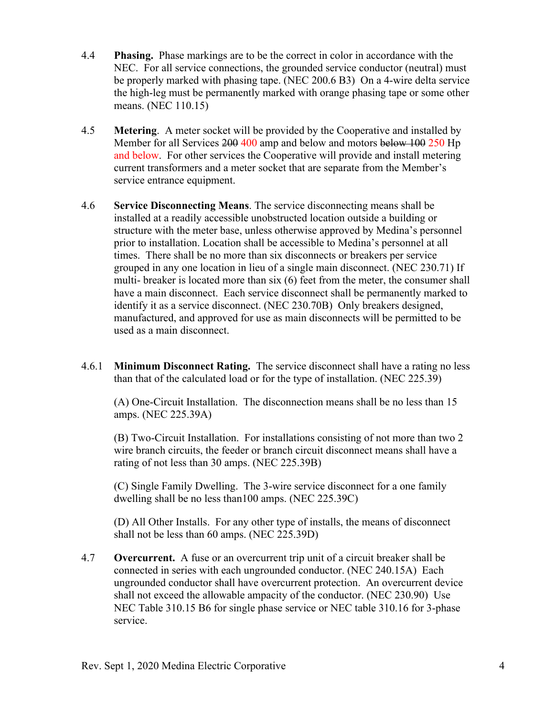- 4.4 **Phasing.** Phase markings are to be the correct in color in accordance with the NEC. For all service connections, the grounded service conductor (neutral) must be properly marked with phasing tape. (NEC 200.6 B3) On a 4-wire delta service the high-leg must be permanently marked with orange phasing tape or some other means. (NEC 110.15)
- 4.5 **Metering**. A meter socket will be provided by the Cooperative and installed by Member for all Services 200 400 amp and below and motors below 100 250 Hp and below. For other services the Cooperative will provide and install metering current transformers and a meter socket that are separate from the Member's service entrance equipment.
- 4.6 **Service Disconnecting Means**. The service disconnecting means shall be installed at a readily accessible unobstructed location outside a building or structure with the meter base, unless otherwise approved by Medina's personnel prior to installation. Location shall be accessible to Medina's personnel at all times. There shall be no more than six disconnects or breakers per service grouped in any one location in lieu of a single main disconnect. (NEC 230.71) If multi- breaker is located more than six (6) feet from the meter, the consumer shall have a main disconnect. Each service disconnect shall be permanently marked to identify it as a service disconnect. (NEC 230.70B) Only breakers designed, manufactured, and approved for use as main disconnects will be permitted to be used as a main disconnect.
- 4.6.1 **Minimum Disconnect Rating.** The service disconnect shall have a rating no less than that of the calculated load or for the type of installation. (NEC 225.39)

(A) One-Circuit Installation. The disconnection means shall be no less than 15 amps. (NEC 225.39A)

(B) Two-Circuit Installation. For installations consisting of not more than two 2 wire branch circuits, the feeder or branch circuit disconnect means shall have a rating of not less than 30 amps. (NEC 225.39B)

(C) Single Family Dwelling. The 3-wire service disconnect for a one family dwelling shall be no less than100 amps. (NEC 225.39C)

(D) All Other Installs. For any other type of installs, the means of disconnect shall not be less than 60 amps. (NEC 225.39D)

4.7 **Overcurrent.** A fuse or an overcurrent trip unit of a circuit breaker shall be connected in series with each ungrounded conductor. (NEC 240.15A) Each ungrounded conductor shall have overcurrent protection. An overcurrent device shall not exceed the allowable ampacity of the conductor. (NEC 230.90) Use NEC Table 310.15 B6 for single phase service or NEC table 310.16 for 3-phase service.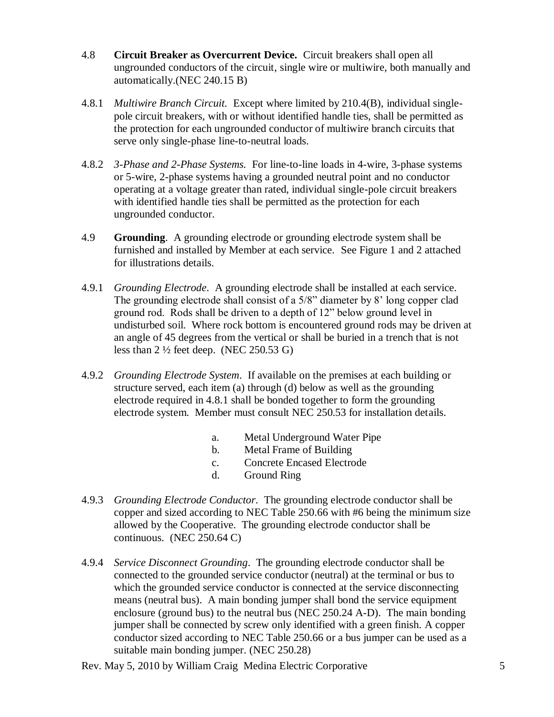- 4.8 **Circuit Breaker as Overcurrent Device.** Circuit breakers shall open all ungrounded conductors of the circuit, single wire or multiwire, both manually and automatically.(NEC 240.15 B)
- 4.8.1 *Multiwire Branch Circuit.* Except where limited by 210.4(B), individual singlepole circuit breakers, with or without identified handle ties, shall be permitted as the protection for each ungrounded conductor of multiwire branch circuits that serve only single-phase line-to-neutral loads.
- 4.8.2 *3-Phase and 2-Phase Systems.* For line-to-line loads in 4-wire, 3-phase systems or 5-wire, 2-phase systems having a grounded neutral point and no conductor operating at a voltage greater than rated, individual single-pole circuit breakers with identified handle ties shall be permitted as the protection for each ungrounded conductor.
- 4.9 **Grounding**. A grounding electrode or grounding electrode system shall be furnished and installed by Member at each service. See Figure 1 and 2 attached for illustrations details.
- 4.9.1 *Grounding Electrode*. A grounding electrode shall be installed at each service. The grounding electrode shall consist of a 5/8" diameter by 8' long copper clad ground rod. Rods shall be driven to a depth of 12" below ground level in undisturbed soil. Where rock bottom is encountered ground rods may be driven at an angle of 45 degrees from the vertical or shall be buried in a trench that is not less than  $2\frac{1}{2}$  feet deep. (NEC 250.53 G)
- 4.9.2 *Grounding Electrode System*. If available on the premises at each building or structure served, each item (a) through (d) below as well as the grounding electrode required in 4.8.1 shall be bonded together to form the grounding electrode system. Member must consult NEC 250.53 for installation details.
	- a. Metal Underground Water Pipe
	- b. Metal Frame of Building
	- c. Concrete Encased Electrode
	- d. Ground Ring
- 4.9.3 *Grounding Electrode Conductor*. The grounding electrode conductor shall be copper and sized according to NEC Table 250.66 with #6 being the minimum size allowed by the Cooperative. The grounding electrode conductor shall be continuous. (NEC 250.64 C)
- 4.9.4 *Service Disconnect Grounding*. The grounding electrode conductor shall be connected to the grounded service conductor (neutral) at the terminal or bus to which the grounded service conductor is connected at the service disconnecting means (neutral bus). A main bonding jumper shall bond the service equipment enclosure (ground bus) to the neutral bus (NEC 250.24 A-D). The main bonding jumper shall be connected by screw only identified with a green finish. A copper conductor sized according to NEC Table 250.66 or a bus jumper can be used as a suitable main bonding jumper. (NEC 250.28)

Rev. May 5, 2010 by William Craig Medina Electric Corporative 5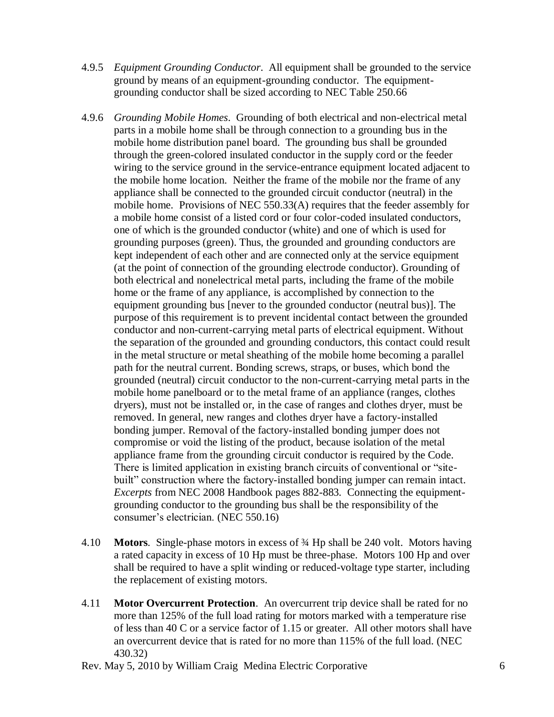- 4.9.5 *Equipment Grounding Conductor*. All equipment shall be grounded to the service ground by means of an equipment-grounding conductor. The equipmentgrounding conductor shall be sized according to NEC Table 250.66
- 4.9.6 *Grounding Mobile Homes*. Grounding of both electrical and non-electrical metal parts in a mobile home shall be through connection to a grounding bus in the mobile home distribution panel board. The grounding bus shall be grounded through the green-colored insulated conductor in the supply cord or the feeder wiring to the service ground in the service-entrance equipment located adjacent to the mobile home location. Neither the frame of the mobile nor the frame of any appliance shall be connected to the grounded circuit conductor (neutral) in the mobile home. Provisions of NEC 550.33(A) requires that the feeder assembly for a mobile home consist of a listed cord or four color-coded insulated conductors, one of which is the grounded conductor (white) and one of which is used for grounding purposes (green). Thus, the grounded and grounding conductors are kept independent of each other and are connected only at the service equipment (at the point of connection of the grounding electrode conductor). Grounding of both electrical and nonelectrical metal parts, including the frame of the mobile home or the frame of any appliance, is accomplished by connection to the equipment grounding bus [never to the grounded conductor (neutral bus)]. The purpose of this requirement is to prevent incidental contact between the grounded conductor and non-current-carrying metal parts of electrical equipment. Without the separation of the grounded and grounding conductors, this contact could result in the metal structure or metal sheathing of the mobile home becoming a parallel path for the neutral current. Bonding screws, straps, or buses, which bond the grounded (neutral) circuit conductor to the non-current-carrying metal parts in the mobile home panelboard or to the metal frame of an appliance (ranges, clothes dryers), must not be installed or, in the case of ranges and clothes dryer, must be removed. In general, new ranges and clothes dryer have a factory-installed bonding jumper. Removal of the factory-installed bonding jumper does not compromise or void the listing of the product, because isolation of the metal appliance frame from the grounding circuit conductor is required by the Code. There is limited application in existing branch circuits of conventional or "sitebuilt" construction where the factory-installed bonding jumper can remain intact. *Excerpts* from NEC 2008 Handbook pages 882-883*.* Connecting the equipmentgrounding conductor to the grounding bus shall be the responsibility of the consumer's electrician. (NEC 550.16)
- 4.10 **Motors**. Single-phase motors in excess of ¾ Hp shall be 240 volt. Motors having a rated capacity in excess of 10 Hp must be three-phase. Motors 100 Hp and over shall be required to have a split winding or reduced-voltage type starter, including the replacement of existing motors.
- 4.11 **Motor Overcurrent Protection**. An overcurrent trip device shall be rated for no more than 125% of the full load rating for motors marked with a temperature rise of less than 40 C or a service factor of 1.15 or greater. All other motors shall have an overcurrent device that is rated for no more than 115% of the full load. (NEC 430.32)
- Rev. May 5, 2010 by William Craig Medina Electric Corporative 6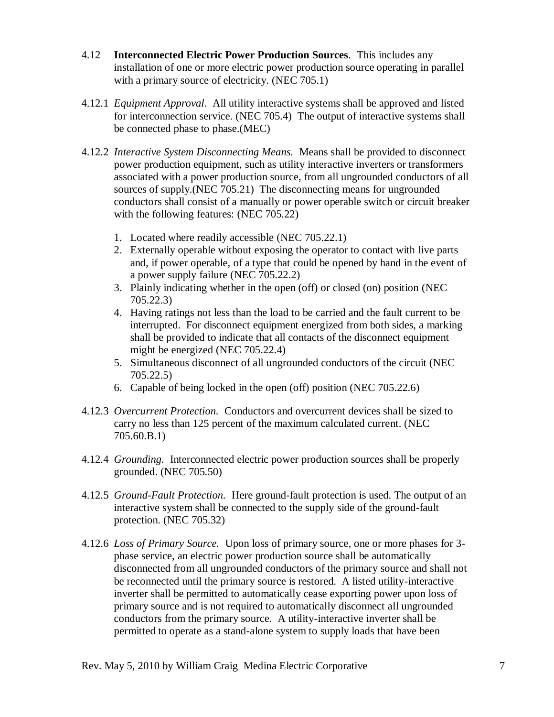- 4.12 **Interconnected Electric Power Production Sources**. This includes any installation of one or more electric power production source operating in parallel with a primary source of electricity. (NEC 705.1)
- 4.12.1 *Equipment Approval*. All utility interactive systems shall be approved and listed for interconnection service. (NEC 705.4) The output of interactive systems shall be connected phase to phase.(MEC)
- 4.12.2 *Interactive System Disconnecting Means.* Means shall be provided to disconnect power production equipment, such as utility interactive inverters or transformers associated with a power production source, from all ungrounded conductors of all sources of supply.(NEC 705.21) The disconnecting means for ungrounded conductors shall consist of a manually or power operable switch or circuit breaker with the following features: (NEC 705.22)
	- 1. Located where readily accessible (NEC 705.22.1)
	- 2. Externally operable without exposing the operator to contact with live parts and, if power operable, of a type that could be opened by hand in the event of a power supply failure (NEC 705.22.2)
	- 3. Plainly indicating whether in the open (off) or closed (on) position (NEC 705.22.3)
	- 4. Having ratings not less than the load to be carried and the fault current to be interrupted. For disconnect equipment energized from both sides, a marking shall be provided to indicate that all contacts of the disconnect equipment might be energized (NEC 705.22.4)
	- 5. Simultaneous disconnect of all ungrounded conductors of the circuit (NEC 705.22.5)
	- 6. Capable of being locked in the open (off) position (NEC 705.22.6)
- 4.12.3 *Overcurrent Protection.* Conductors and overcurrent devices shall be sized to carry no less than 125 percent of the maximum calculated current. (NEC 705.60.B.1)
- 4.12.4 *Grounding.* Interconnected electric power production sources shall be properly grounded. (NEC 705.50)
- 4.12.5 *Ground-Fault Protection.* Here ground-fault protection is used. The output of an interactive system shall be connected to the supply side of the ground-fault protection. (NEC 705.32)
- 4.12.6 *Loss of Primary Source.* Upon loss of primary source, one or more phases for 3 phase service, an electric power production source shall be automatically disconnected from all ungrounded conductors of the primary source and shall not be reconnected until the primary source is restored. A listed utility-interactive inverter shall be permitted to automatically cease exporting power upon loss of primary source and is not required to automatically disconnect all ungrounded conductors from the primary source. A utility-interactive inverter shall be permitted to operate as a stand-alone system to supply loads that have been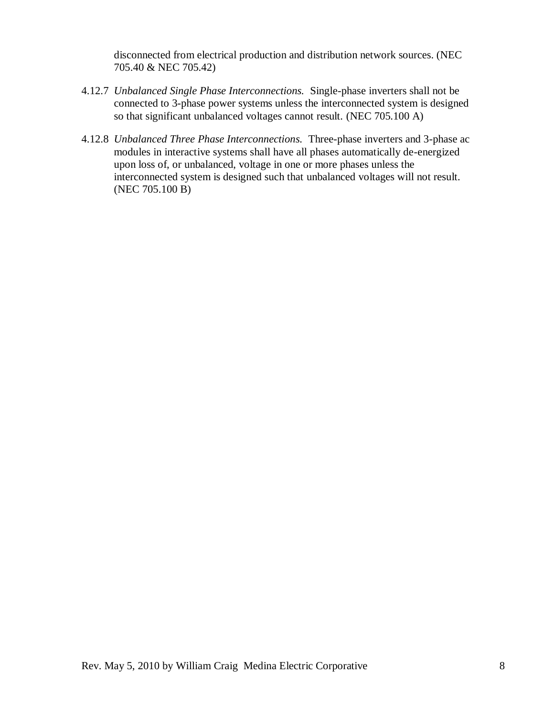disconnected from electrical production and distribution network sources. (NEC 705.40 & NEC 705.42)

- 4.12.7 *Unbalanced Single Phase Interconnections.* Single-phase inverters shall not be connected to 3-phase power systems unless the interconnected system is designed so that significant unbalanced voltages cannot result. (NEC 705.100 A)
- 4.12.8 *Unbalanced Three Phase Interconnections.* Three-phase inverters and 3-phase ac modules in interactive systems shall have all phases automatically de-energized upon loss of, or unbalanced, voltage in one or more phases unless the interconnected system is designed such that unbalanced voltages will not result. (NEC 705.100 B)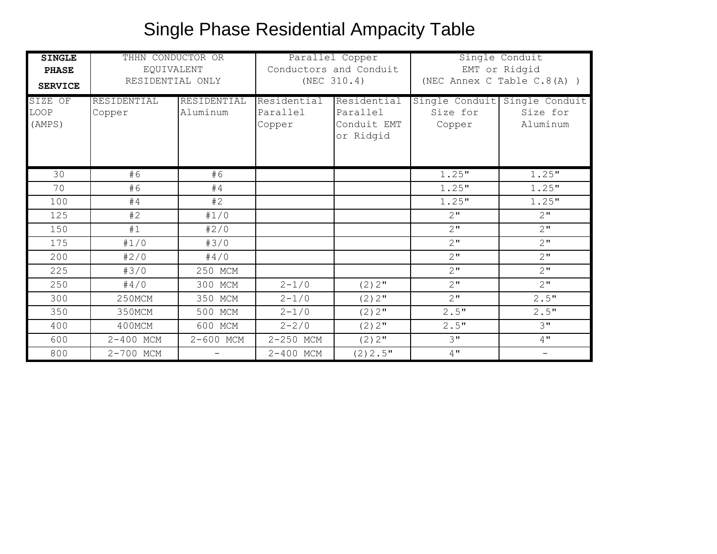## Single Phase Residential Ampacity Table

| <b>SINGLE</b>             | THHN CONDUCTOR OR     |                         | Parallel Copper                   |                                                     | Single Conduit                       |                                        |
|---------------------------|-----------------------|-------------------------|-----------------------------------|-----------------------------------------------------|--------------------------------------|----------------------------------------|
| <b>PHASE</b>              | EQUIVALENT            |                         | Conductors and Conduit            |                                                     | EMT or Ridgid                        |                                        |
| <b>SERVICE</b>            | RESIDENTIAL ONLY      |                         | (NEC 310.4)                       |                                                     | (NEC Annex C Table $C.8(A)$ )        |                                        |
| SIZE OF<br>LOOP<br>(AMPS) | RESIDENTIAL<br>Copper | RESIDENTIAL<br>Aluminum | Residential<br>Parallel<br>Copper | Residential<br>Parallel<br>Conduit EMT<br>or Ridgid | Single Conduit<br>Size for<br>Copper | Single Conduit<br>Size for<br>Aluminum |
| 30                        | #6                    | #6                      |                                   |                                                     | 1.25"                                | 1.25"                                  |
| 70                        | #6                    | #4                      |                                   |                                                     | 1.25"                                | 1.25"                                  |
| 100                       | #4                    | #2                      |                                   |                                                     | 1.25"                                | 1.25"                                  |
| 125                       | #2                    | #1/0                    |                                   |                                                     | $2^{\mathsf{u}}$                     | $2^{\mathsf{H}}$                       |
| 150                       | #1                    | #2/0                    |                                   |                                                     | 2 <sup>''</sup>                      | 2"                                     |
| 175                       | #1/0                  | #3/0                    |                                   |                                                     | $2^{\mathsf{u}}$                     | 2"                                     |
| 200                       | #2/0                  | #4/0                    |                                   |                                                     | $2^{\mathsf{u}}$                     | $2^{\mathsf{u}}$                       |
| 225                       | #3/0                  | 250 MCM                 |                                   |                                                     | 2 <sup>''</sup>                      | $2$ "                                  |
| 250                       | #4/0                  | 300 MCM                 | $2 - 1/0$                         | $(2)$ 2"                                            | $2$ "                                | 2 <sup>''</sup>                        |
| 300                       | 250MCM                | 350 MCM                 | $2 - 1/0$                         | $(2)$ 2"                                            | 2 <sup>''</sup>                      | 2.5"                                   |
| 350                       | 350MCM                | 500 MCM                 | $2 - 1/0$                         | $(2)$ 2"                                            | 2.5"                                 | 2.5"                                   |
| 400                       | 400MCM                | 600 MCM                 | $2 - 2/0$                         | $(2) 2$ "                                           | 2.5"                                 | 3"                                     |
| 600                       | 2-400 MCM             | 2-600 MCM               | 2-250 MCM                         | $(2) 2$ "                                           | 3"                                   | 4"                                     |
| 800                       | 2-700 MCM             |                         | 2-400 MCM                         | $(2)$ 2.5"                                          | $4$ "                                |                                        |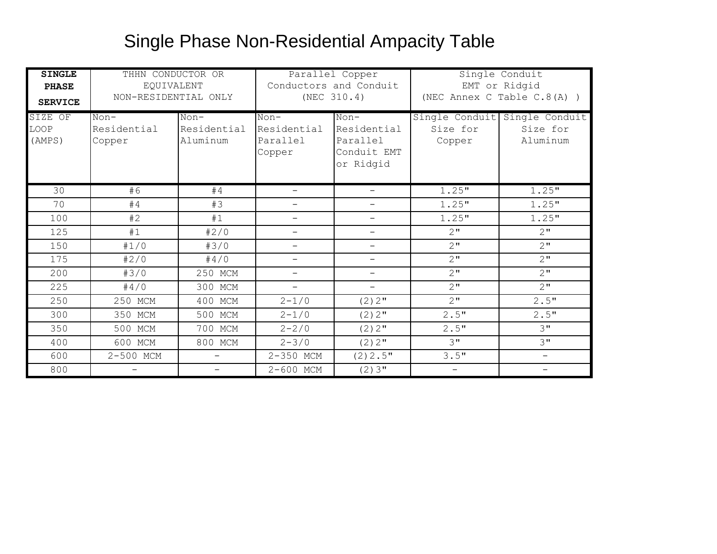### Single Phase Non-Residential Ampacity Table

| <b>SINGLE</b><br><b>PHASE</b><br><b>SERVICE</b><br>SIZE OF<br>LOOP<br>(AMPS) | THHN CONDUCTOR OR<br>EQUIVALENT<br>NON-RESIDENTIAL ONLY<br>$Non-$<br>Residential<br>Copper | $Non-$<br>Residential<br>Aluminum | $Non-$<br>Residential<br>Parallel<br>Copper | Parallel Copper<br>Conductors and Conduit<br>(NEC 310.4)<br>$Non-$<br>Residential<br>Parallel<br>Conduit EMT<br>or Ridgid | Single Conduit<br>Size for<br>Copper | Single Conduit<br>EMT or Ridgid<br>(NEC Annex C Table $C.8(A)$ )<br>Single Conduit<br>Size for<br>Aluminum |
|------------------------------------------------------------------------------|--------------------------------------------------------------------------------------------|-----------------------------------|---------------------------------------------|---------------------------------------------------------------------------------------------------------------------------|--------------------------------------|------------------------------------------------------------------------------------------------------------|
| 30                                                                           | #6                                                                                         | #4                                |                                             |                                                                                                                           | 1.25"                                | 1.25"                                                                                                      |
| 70                                                                           | #4                                                                                         | #3                                | $\overline{\phantom{0}}$                    | -                                                                                                                         | 1.25"                                | 1.25"                                                                                                      |
| 100                                                                          | #2                                                                                         | #1                                | $\overline{\phantom{0}}$                    | $\overline{\phantom{0}}$                                                                                                  | 1.25"                                | 1.25"                                                                                                      |
| 125                                                                          | #1                                                                                         | #2/0                              | $\qquad \qquad -$                           | $\overline{\phantom{0}}$                                                                                                  | 2"                                   | 2"                                                                                                         |
| 150                                                                          | #1/0                                                                                       | #3/0                              | $\overline{\phantom{0}}$                    | $\overline{\phantom{0}}$                                                                                                  | $2$ "                                | $2^{\mathsf{u}}$                                                                                           |
| 175                                                                          | #2/0                                                                                       | #4/0                              | $\qquad \qquad -$                           | $\qquad \qquad -$                                                                                                         | $2$ "                                | 2 <sup>''</sup>                                                                                            |
| 200                                                                          | #3/0                                                                                       | 250 MCM                           | $\qquad \qquad -$                           | $-$                                                                                                                       | $2^{\mathsf{u}}$                     | 2"                                                                                                         |
| 225                                                                          | #4/0                                                                                       | 300 MCM                           | $\qquad \qquad -$                           | $\overline{\phantom{0}}$                                                                                                  | 2 <sup>''</sup>                      | $2^{\mathsf{u}}$                                                                                           |
| 250                                                                          | 250 MCM                                                                                    | 400 MCM                           | $2 - 1/0$                                   | $(2)$ 2"                                                                                                                  | $2$ "                                | 2.5"                                                                                                       |
| 300                                                                          | 350 MCM                                                                                    | 500 MCM                           | $2 - 1/0$                                   | $(2) 2$ "                                                                                                                 | 2.5"                                 | 2.5"                                                                                                       |
| 350                                                                          | 500 MCM                                                                                    | 700 MCM                           | $2 - 2/0$                                   | $(2)$ 2"                                                                                                                  | 2.5"                                 | 3 <sup>11</sup>                                                                                            |
| 400                                                                          | 600 MCM                                                                                    | 800 MCM                           | $2 - 3/0$                                   | $(2) 2$ "                                                                                                                 | 3"                                   | 3"                                                                                                         |
| 600                                                                          | 2-500 MCM                                                                                  | $-$                               | 2-350 MCM                                   | $(2)$ 2.5"                                                                                                                | 3.5"                                 | $\overline{\phantom{a}}$                                                                                   |
| 800                                                                          |                                                                                            | $\overline{\phantom{0}}$          | 2-600 MCM                                   | $(2)$ 3"                                                                                                                  | $\qquad \qquad -$                    | $\qquad \qquad -$                                                                                          |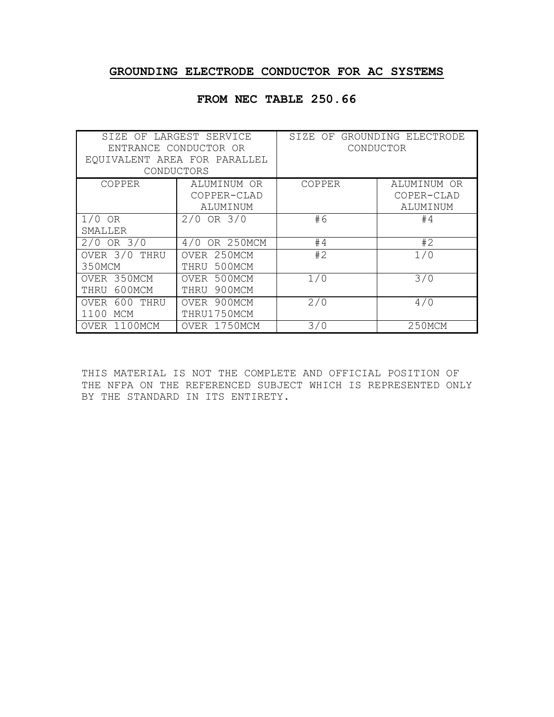#### **GROUNDING ELECTRODE CONDUCTOR FOR AC SYSTEMS**

| EQUIVALENT AREA FOR PARALLEL | SIZE OF LARGEST SERVICE<br>ENTRANCE CONDUCTOR OR<br>CONDUCTORS | SIZE OF GROUNDING ELECTRODE<br>CONDUCTOR |                           |  |
|------------------------------|----------------------------------------------------------------|------------------------------------------|---------------------------|--|
| COPPER                       | ALUMINUM OR<br>COPPER-CLAD                                     | COPPER                                   | ALUMINUM OR<br>COPER-CLAD |  |
|                              | ALUMINUM                                                       |                                          | ALUMINUM                  |  |
| $1/0$ OR                     | $2/0$ OR $3/0$                                                 | #6                                       | #4                        |  |
| SMALLER                      |                                                                |                                          |                           |  |
| $2/0$ OR $3/0$               | OR 250MCM<br>4/0                                               | #4                                       | #2                        |  |
| OVER $3/0$<br>THRU<br>350MCM | OVER 250MCM<br>500MCM<br>THRU                                  | #2                                       | 1/0                       |  |
| 350MCM<br>OVER               | 500MCM<br>OVER                                                 | 1/0                                      | 3/0                       |  |
| 600MCM<br>THRU               | 900MCM<br>THRU                                                 |                                          |                           |  |
| 600<br>THRU<br><b>OVER</b>   | 900MCM<br>OVER                                                 | 2/0                                      | 4/0                       |  |
| MCM<br>1100                  | THRU1750MCM                                                    |                                          |                           |  |
| 1100MCM<br>OVER              | OVER 1750MCM                                                   | 3/0                                      | 250MCM                    |  |

#### **FROM NEC TABLE 250.66**

THIS MATERIAL IS NOT THE COMPLETE AND OFFICIAL POSITION OF THE NFPA ON THE REFERENCED SUBJECT WHICH IS REPRESENTED ONLY BY THE STANDARD IN ITS ENTIRETY.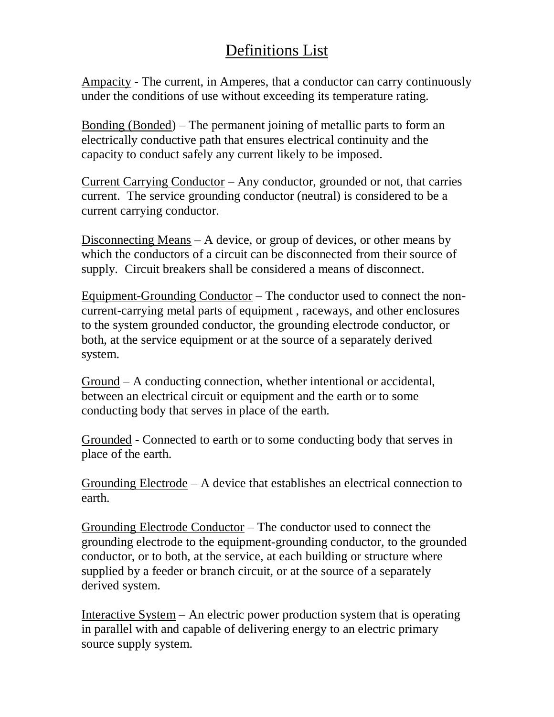### Definitions List

Ampacity - The current, in Amperes, that a conductor can carry continuously under the conditions of use without exceeding its temperature rating.

Bonding (Bonded) – The permanent joining of metallic parts to form an electrically conductive path that ensures electrical continuity and the capacity to conduct safely any current likely to be imposed.

Current Carrying Conductor – Any conductor, grounded or not, that carries current. The service grounding conductor (neutral) is considered to be a current carrying conductor.

Disconnecting Means – A device, or group of devices, or other means by which the conductors of a circuit can be disconnected from their source of supply. Circuit breakers shall be considered a means of disconnect.

Equipment-Grounding Conductor – The conductor used to connect the noncurrent-carrying metal parts of equipment , raceways, and other enclosures to the system grounded conductor, the grounding electrode conductor, or both, at the service equipment or at the source of a separately derived system.

Ground – A conducting connection, whether intentional or accidental, between an electrical circuit or equipment and the earth or to some conducting body that serves in place of the earth.

Grounded - Connected to earth or to some conducting body that serves in place of the earth.

Grounding Electrode – A device that establishes an electrical connection to earth.

Grounding Electrode Conductor – The conductor used to connect the grounding electrode to the equipment-grounding conductor, to the grounded conductor, or to both, at the service, at each building or structure where supplied by a feeder or branch circuit, or at the source of a separately derived system.

Interactive System – An electric power production system that is operating in parallel with and capable of delivering energy to an electric primary source supply system.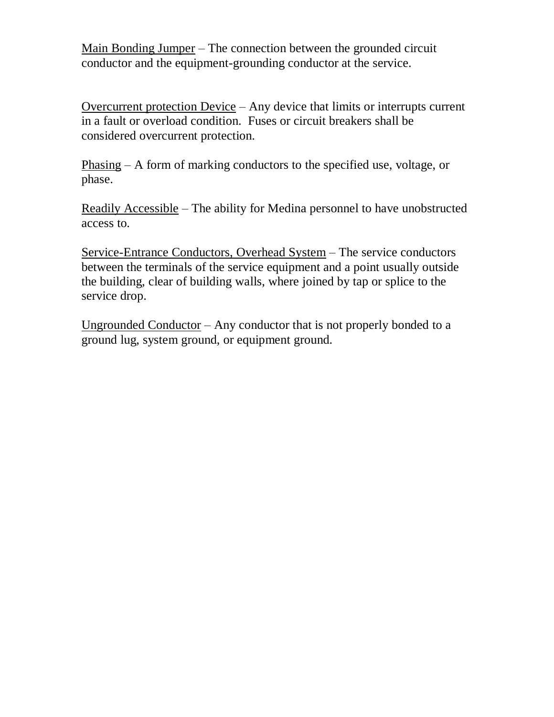Main Bonding Jumper – The connection between the grounded circuit conductor and the equipment-grounding conductor at the service.

Overcurrent protection Device – Any device that limits or interrupts current in a fault or overload condition. Fuses or circuit breakers shall be considered overcurrent protection.

Phasing – A form of marking conductors to the specified use, voltage, or phase.

Readily Accessible – The ability for Medina personnel to have unobstructed access to.

Service-Entrance Conductors, Overhead System – The service conductors between the terminals of the service equipment and a point usually outside the building, clear of building walls, where joined by tap or splice to the service drop.

Ungrounded Conductor – Any conductor that is not properly bonded to a ground lug, system ground, or equipment ground.